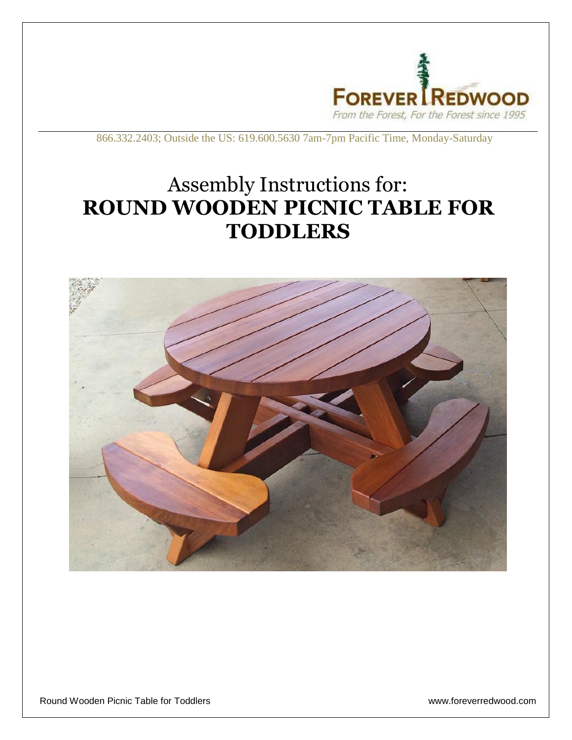

866.332.2403; Outside the US: 619.600.5630 7am-7pm Pacific Time, Monday-Saturday

## Assembly Instructions for: **ROUND WOODEN PICNIC TABLE FOR TODDLERS**



Round Wooden Picnic Table for Toddlers www.foreverredwood.com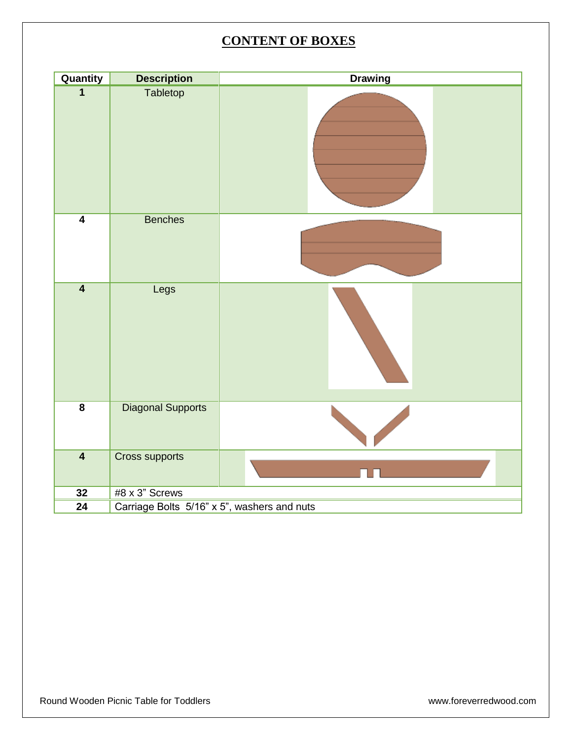## **CONTENT OF BOXES**

| Quantity                | <b>Description</b>                          | <b>Drawing</b> |
|-------------------------|---------------------------------------------|----------------|
| $\overline{\mathbf{1}}$ | Tabletop                                    |                |
| $\overline{4}$          | <b>Benches</b>                              |                |
| $\overline{4}$          | Legs                                        |                |
| $\overline{\mathbf{8}}$ | <b>Diagonal Supports</b>                    |                |
| $\overline{\mathbf{4}}$ | <b>Cross supports</b>                       |                |
| 32                      | #8 x 3" Screws                              |                |
| $\overline{24}$         | Carriage Bolts 5/16" x 5", washers and nuts |                |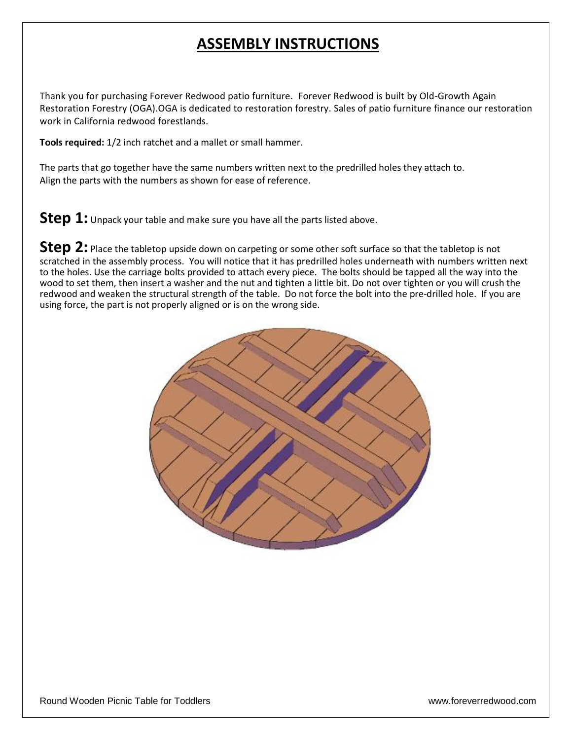## **ASSEMBLY INSTRUCTIONS**

Thank you for purchasing Forever Redwood patio furniture. Forever Redwood is built by Old-Growth Again Restoration Forestry (OGA).OGA is dedicated to restoration forestry. Sales of patio furniture finance our restoration work in California redwood forestlands.

**Tools required:** 1/2 inch ratchet and a mallet or small hammer.

The parts that go together have the same numbers written next to the predrilled holes they attach to. Align the parts with the numbers as shown for ease of reference.

**Step 1:** Unpack your table and make sure you have all the parts listed above.

Step 2: Place the tabletop upside down on carpeting or some other soft surface so that the tabletop is not scratched in the assembly process. You will notice that it has predrilled holes underneath with numbers written next to the holes. Use the carriage bolts provided to attach every piece. The bolts should be tapped all the way into the wood to set them, then insert a washer and the nut and tighten a little bit. Do not over tighten or you will crush the redwood and weaken the structural strength of the table. Do not force the bolt into the pre-drilled hole. If you are using force, the part is not properly aligned or is on the wrong side.

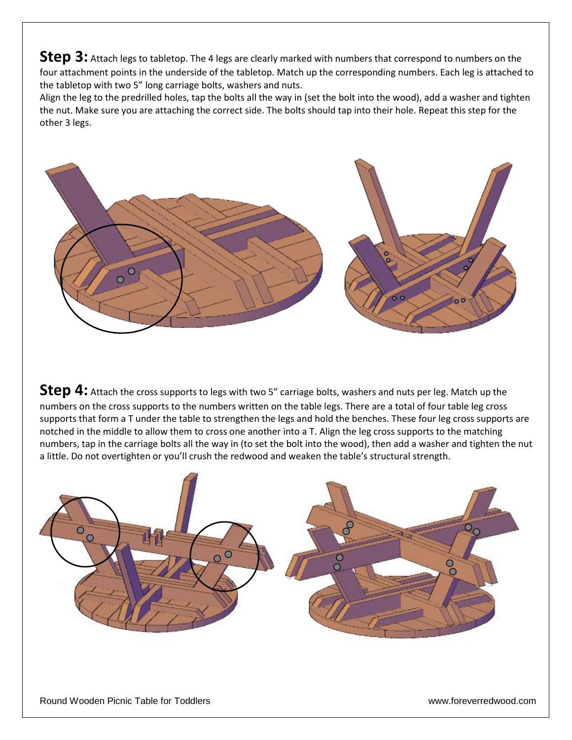**Step 3:** Attach legs to tabletop. The 4 legs are clearly marked with numbers that correspond to numbers on the four attachment points in the underside of the tabletop. Match up the corresponding numbers. Each leg is attached to the tabletop with two 5" long carriage bolts, washers and nuts.

Align the leg to the predrilled holes, tap the bolts all the way in (set the bolt into the wood), add a washer and tighten the nut. Make sure you are attaching the correct side. The bolts should tap into their hole. Repeat this step for the other 3 legs.



**Step 4:** Attach the cross supports to legs with two 5" carriage bolts, washers and nuts per leg. Match up the numbers on the cross supports to the numbers written on the table legs. There are a total of four table leg cross supports that form a T under the table to strengthen the legs and hold the benches. These four leg cross supports are notched in the middle to allow them to cross one another into a T. Align the leg cross supports to the matching numbers, tap in the carriage bolts all the way in (to set the bolt into the wood), then add a washer and tighten the nut a little. Do not overtighten or you'll crush the redwood and weaken the table's structural strength.

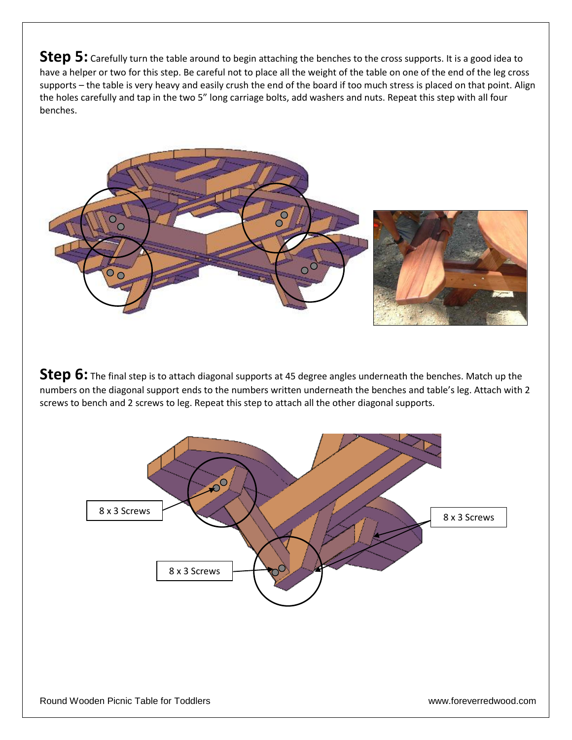**Step 5:** Carefully turn the table around to begin attaching the benches to the cross supports. It is a good idea to have a helper or two for this step. Be careful not to place all the weight of the table on one of the end of the leg cross supports – the table is very heavy and easily crush the end of the board if too much stress is placed on that point. Align the holes carefully and tap in the two 5" long carriage bolts, add washers and nuts. Repeat this step with all four benches.



**Step 6:** The final step is to attach diagonal supports at 45 degree angles underneath the benches. Match up the numbers on the diagonal support ends to the numbers written underneath the benches and table's leg. Attach with 2 screws to bench and 2 screws to leg. Repeat this step to attach all the other diagonal supports.